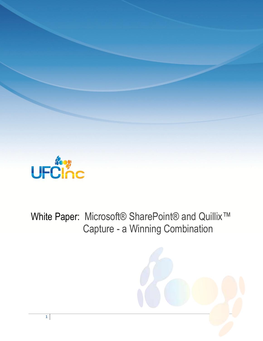

White Paper: Microsoft® SharePoint® and Quillix™ Capture - a Winning Combination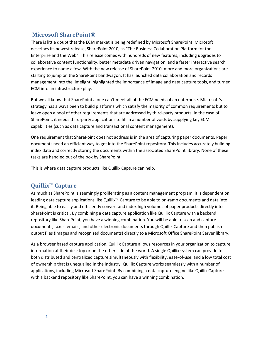## **Microsoft SharePoint®**

There is little doubt that the ECM market is being redefined by Microsoft SharePoint. Microsoft describes its newest release, SharePoint 2010, as "The Business Collaboration Platform for the Enterprise and the Web". This release comes with hundreds of new features, including upgrades to collaborative content functionality, better metadata driven navigation, and a faster interactive search experience to name a few. With the new release of SharePoint 2010, more and more organizations are starting to jump on the SharePoint bandwagon. It has launched data collaboration and records management into the limelight, highlighted the importance of image and data capture tools, and turned ECM into an infrastructure play.

But we all know that SharePoint alone can't meet all of the ECM needs of an enterprise. Microsoft's strategy has always been to build platforms which satisfy the majority of common requirements but to leave open a pool of other requirements that are addressed by third-party products. In the case of SharePoint, it needs third-party applications to fill in a number of voids by supplying key ECM capabilities (such as data capture and transactional content management).

One requirement that SharePoint does not address is in the area of capturing paper documents. Paper documents need an efficient way to get into the SharePoint repository. This includes accurately building index data and correctly storing the documents within the associated SharePoint library. None of these tasks are handled out of the box by SharePoint.

This is where data capture products like Quillix Capture can help.

## **Quillix™ Capture**

As much as SharePoint is seemingly proliferating as a content management program, it is dependent on leading data capture applications like Quillix™ Capture to be able to on-ramp documents and data into it. Being able to easily and efficiently convert and index high volumes of paper products directly into SharePoint is critical. By combining a data capture application like Quillix Capture with a backend repository like SharePoint, you have a winning combination. You will be able to scan and capture documents, faxes, emails, and other electronic documents through Quillix Capture and then publish output files (images and recognized documents) directly to a Microsoft Office SharePoint Server library.

As a browser based capture application, Quillix Capture allows resources in your organization to capture information at their desktop or on the other side of the world. A single Quillix system can provide for both distributed and centralized capture simultaneously with flexibility, ease-of-use, and a low total cost of ownership that is unequalled in the industry. Quillix Capture works seamlessly with a number of applications, including Microsoft SharePoint. By combining a data capture engine like Quillix Capture with a backend repository like SharePoint, you can have a winning combination.